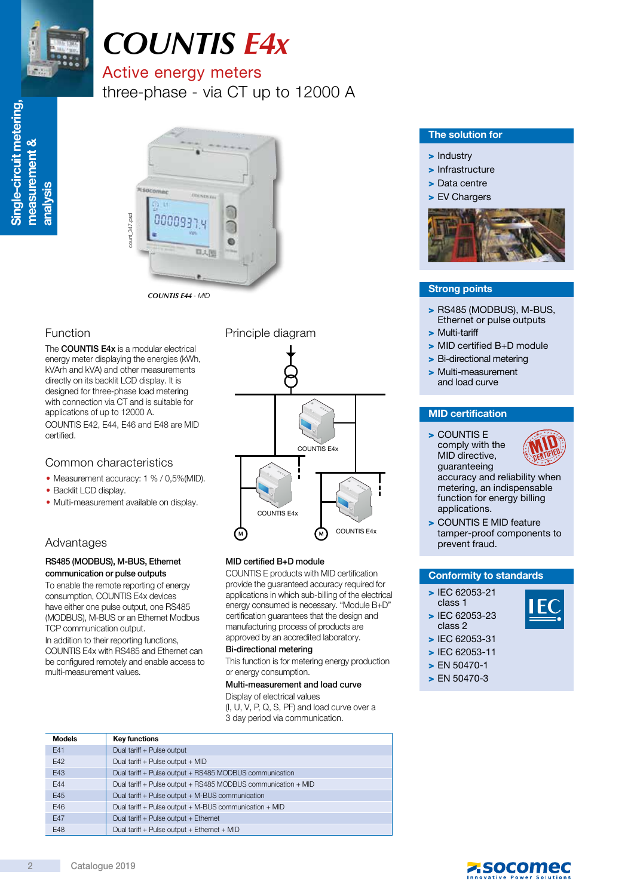

# *COUNTIS E4x*

# Active energy meters

three-phase - via CT up to 12000 A



*COUNTIS E44* - MID

The **COUNTIS E4x** is a modular electrical energy meter displaying the energies (kWh, kVArh and kVA) and other measurements directly on its backlit LCD display. It is designed for three-phase load metering with connection via CT and is suitable for applications of up to 12000 A. COUNTIS E42, E44, E46 and E48 are MID certified.

## Common characteristics

- Measurement accuracy: 1 % / 0,5%(MID).
- Backlit LCD display.
- Multi-measurement available on display.

# Advantages

#### RS485 (MODBUS), M-BUS, Ethernet communication or pulse outputs

To enable the remote reporting of energy consumption, COUNTIS E4x devices have either one pulse output, one RS485 (MODBUS), M-BUS or an Ethernet Modbus TCP communication output.

In addition to their reporting functions, COUNTIS E4x with RS485 and Ethernet can be configured remotely and enable access to multi-measurement values.



#### MID certified B+D module

COUNTIS E products with MID certification provide the guaranteed accuracy required for applications in which sub-billing of the electrical energy consumed is necessary. "Module B+D" certification guarantees that the design and manufacturing process of products are approved by an accredited laboratory.

#### Bi-directional metering

This function is for metering energy production or energy consumption.

#### Multi-measurement and load curve

Display of electrical values (I, U, V, P, Q, S, PF) and load curve over a

3 day period via communication.

| <b>Models</b> | <b>Key functions</b>                                          |
|---------------|---------------------------------------------------------------|
| E41           | Dual tariff + Pulse output                                    |
| E42           | Dual tariff + Pulse output + MID                              |
| E43           | Dual tariff + Pulse output + RS485 MODBUS communication       |
| <b>E44</b>    | Dual tariff + Pulse output + RS485 MODBUS communication + MID |
| E45           | Dual tariff + Pulse output + M-BUS communication              |
| E46           | Dual tariff + Pulse output + M-BUS communication + MID        |
| <b>E47</b>    | Dual tariff + Pulse output + Ethernet                         |
| E48           | Dual tariff + Pulse output + Ethernet + MID                   |

#### The solution for

#### > Industry

> Infrastructure

- > Data centre
- > EV Chargers



### Strong points

- > RS485 (MODBUS), M-BUS, Ethernet or pulse outputs
- > Multi-tariff
- > MID certified B+D module
- > Bi-directional metering
- > Multi-measurement and load curve

#### MID certification

> COUNTIS E comply with the MID directive,



guaranteeing accuracy and reliability when metering, an indispensable function for energy billing applications.

> COUNTIS E MID feature tamper-proof components to prevent fraud.

#### Conformity to standards

- > IEC 62053-21 class 1
- > IEC 62053-23 class 2
- > IEC 62053-31
- > IEC 62053-11
- > EN 50470-1
- > EN 50470-3